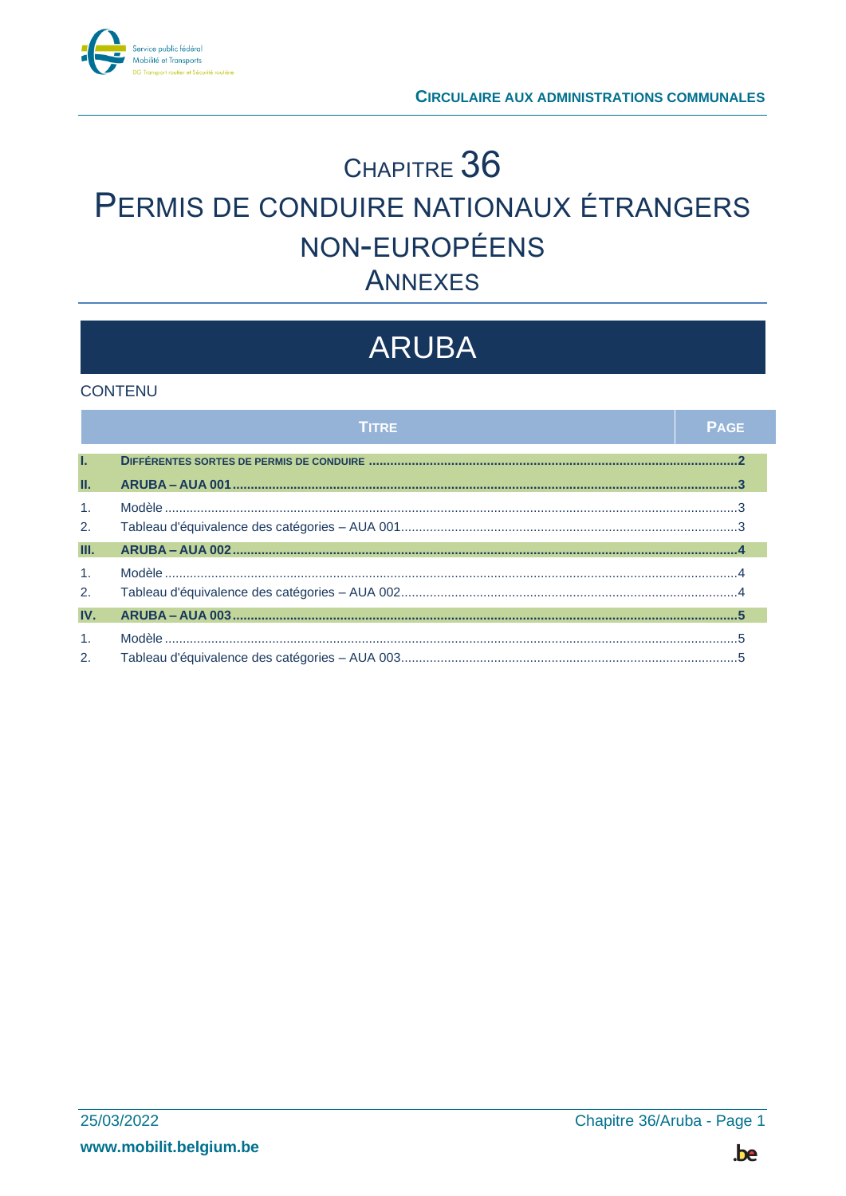

## CHAPITRE 36 PERMIS DE CONDUIRE NATIONAUX ÉTRANGERS NON-EUROPÉENS **ANNEXES**

# **ARUBA**

### **CONTENU**

|                      | <b>TITRE</b> | <b>PAGE</b> |
|----------------------|--------------|-------------|
| T.                   |              |             |
| Ш.                   |              |             |
| $\mathbf{1}$ .<br>2. |              |             |
| III.                 |              |             |
| 1.<br>2.             |              |             |
| IV.                  |              |             |
| $\mathbf{1}$ .<br>2. |              |             |

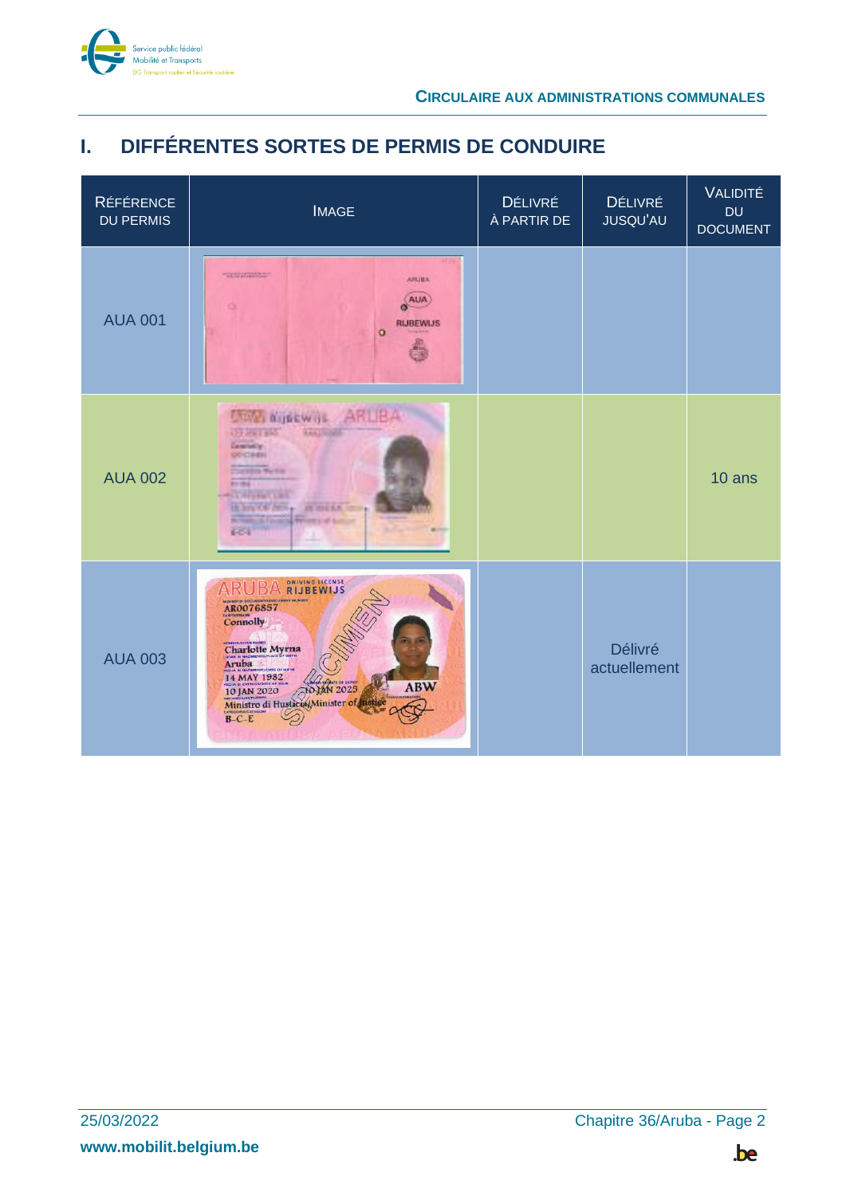

## <span id="page-1-0"></span>I. DIFFÉRENTES SORTES DE PERMIS DE CONDUIRE

| <b>RÉFÉRENCE</b><br><b>DU PERMIS</b> | <b>IMAGE</b>                                                                                                                                                                                                              | DÉLIVRÉ<br>À PARTIR DE | <b>DÉLIVRÉ</b><br><b>JUSQU'AU</b> | VALIDITÉ<br><b>DU</b><br><b>DOCUMENT</b> |
|--------------------------------------|---------------------------------------------------------------------------------------------------------------------------------------------------------------------------------------------------------------------------|------------------------|-----------------------------------|------------------------------------------|
| <b>AUA 001</b>                       | <b>TOO STATES TO ANY</b><br><b>ARLIEA</b><br>AUA<br><b>RIJBEWIJS</b><br>ō                                                                                                                                                 |                        |                                   |                                          |
| <b>AUA 002</b>                       | <b>COL NIBEWIL ARTIBA</b><br><b>CEP PRIT RIGHT</b><br><b>Camerian</b> tly<br>OUCHER<br><b>CALL AND IN</b><br>$-14$<br><b>CONTRACTOR</b><br>10. Inch YOF Peru<br>m<br><b>British School</b><br><b>DESIGN</b><br><b>FOI</b> |                        |                                   | 10 ans                                   |
| <b>AUA 003</b>                       | <b>DRIVING LICENSE</b><br>ARUB<br><b>RIJBEWIJS</b><br>AR0076857<br><b>Connolly</b><br>Charlotte Myrna<br>14 MAY 1982<br>10 JAN 2020<br>Ministro di Husticial Minister of Rastice<br><b>ABW</b><br>EATEGORA CATA           |                        | <b>Délivré</b><br>actuellement    |                                          |

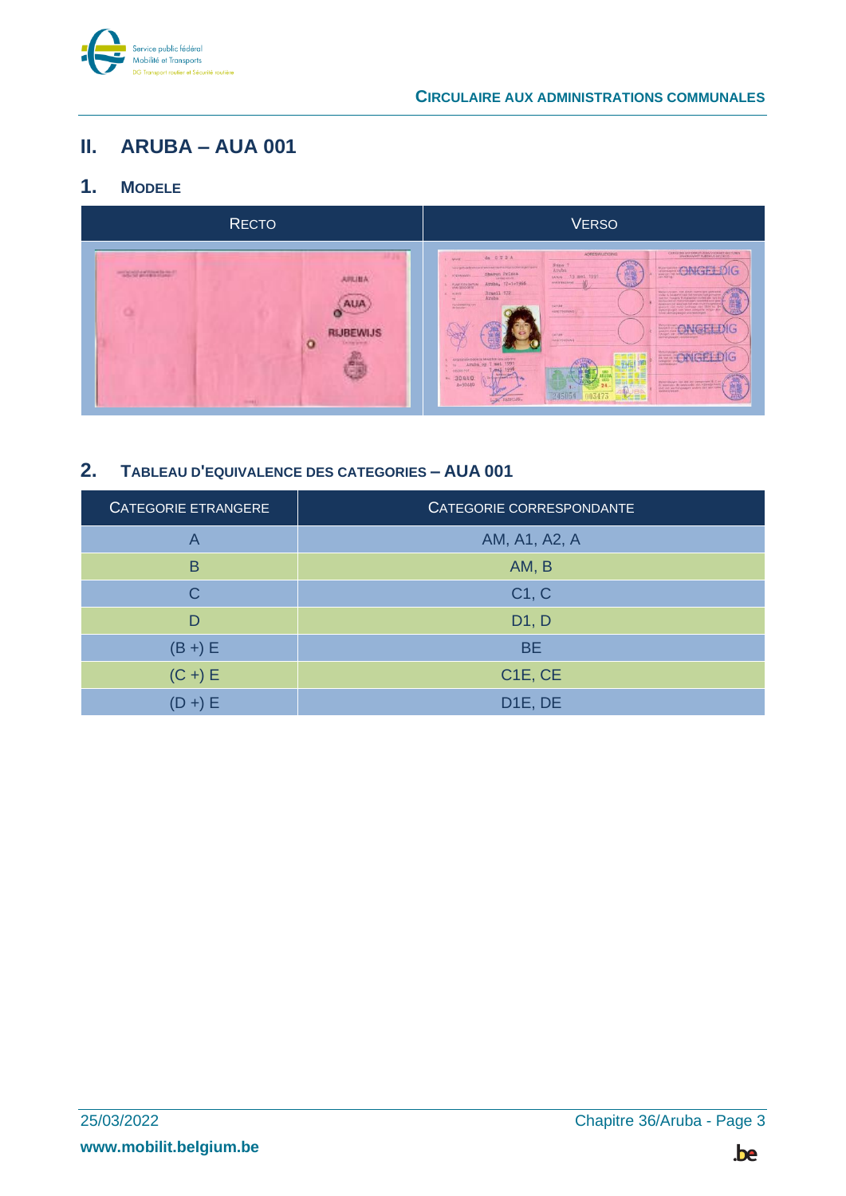

### <span id="page-2-0"></span>**ARUBA - AUA 001** Ш.

### <span id="page-2-1"></span> $1<sub>1</sub>$ **MODELE**



### <span id="page-2-2"></span> $2.$ TABLEAU D'EQUIVALENCE DES CATEGORIES - AUA 001

| <b>CATEGORIE ETRANGERE</b> | CATEGORIE CORRESPONDANTE         |
|----------------------------|----------------------------------|
| A                          | AM, A1, A2, A                    |
| B                          | AM, B                            |
| C                          | C1, C                            |
| D                          | D1, D                            |
| $(B +) E$                  | <b>BE</b>                        |
| $(C +) E$                  | C <sub>1</sub> E, C <sub>E</sub> |
| $(D + E)$                  | D <sub>1E</sub> , DE             |

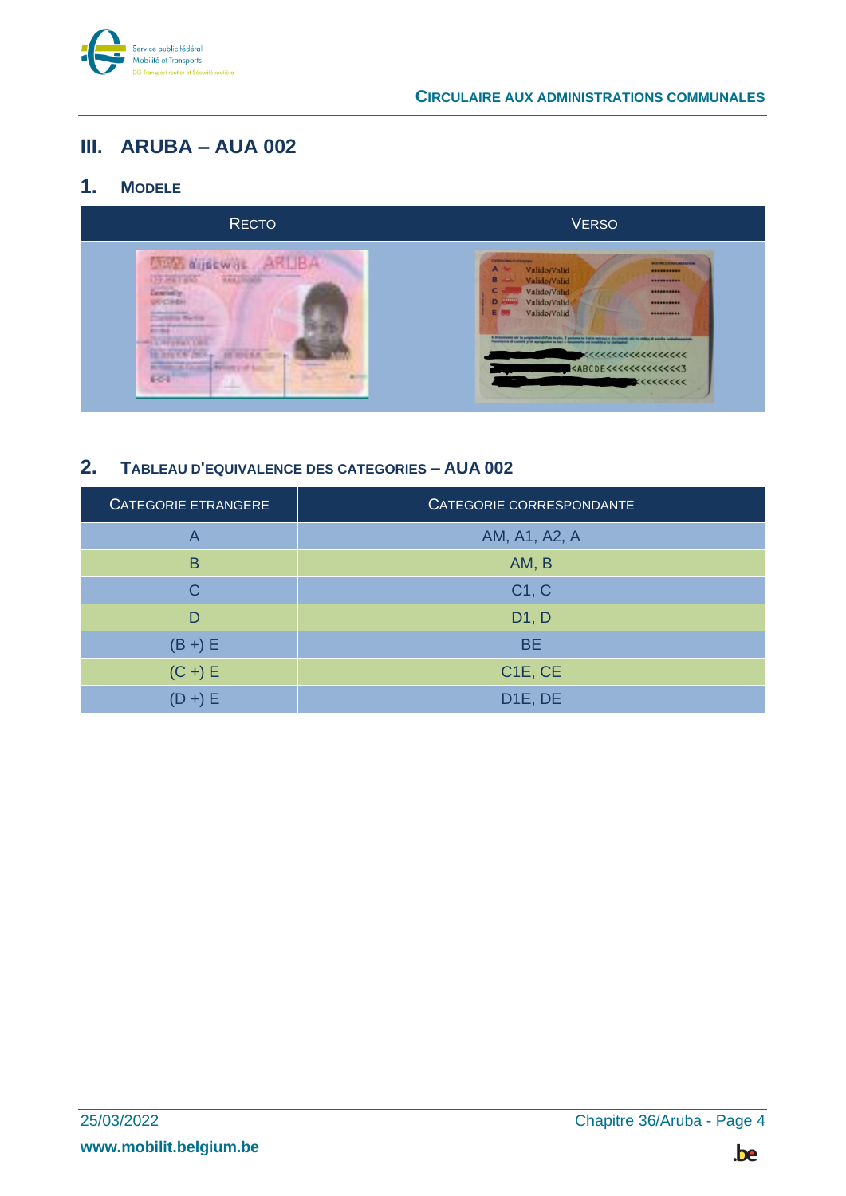

### <span id="page-3-0"></span>III. ARUBA - AUA 002

#### <span id="page-3-1"></span> $1<sub>1</sub>$ **MODELE**



#### <span id="page-3-2"></span> $2.$ TABLEAU D'EQUIVALENCE DES CATEGORIES - AUA 002

| <b>CATEGORIE ETRANGERE</b> | CATEGORIE CORRESPONDANTE         |
|----------------------------|----------------------------------|
| A                          | AM, A1, A2, A                    |
| B                          | AM, B                            |
| C                          | C1, C                            |
| D                          | D1, D                            |
| $(B +) E$                  | <b>BE</b>                        |
| $(C +) E$                  | C <sub>1</sub> E, C <sub>E</sub> |
| $(D +) E$                  | D <sub>1E</sub> , DE             |